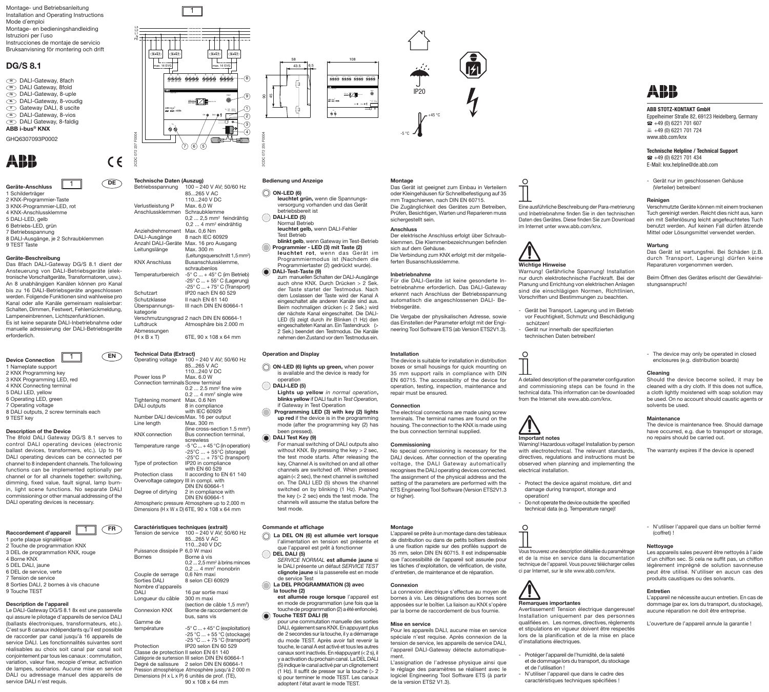Montage- und Betriebsanleitung Installation and Operating Instructions Mode d´emploi Montage- en bedieningshandleiding Istruzioni per l´uso Instrucciones de montaje de servicio Bruksanvisning för montering och drift

# **DG/S 8.1**

- DALI-Gateway, 8fach DE **EN** DALI Gateway, 8fold **<u>n</u>** DALI-Gateway, 8-uple <sup>n</sup> DALI-Gateway, 8-voudig
- <mark>™</mark> Gateway DALI, 8 uscite
- DALI-Gateway, 8-vios ES **ED** DALI Gateway, 8-faldig
- **ABB i-bus® KNX**
- GHQ6307093P0002



Geräte-Anschluss 1 Schilderträger 2 KNX-Programmier-Taste 3 KNX-Programmier-LED, rot 4 KNX-Anschlussklemme 5 DALI-LED, gelb 6 Betriebs-LED, grün 7 Betriebsspannung 8 DALI-Ausgänge, je 2 Schraubklemmen 9 TEST Taste 1

# Geräte-Beschreibung

Das 8fach DALI-Gateway DG/S 8.1 dient der Ansteuerung von DALI-Betriebsgeräte (elektronische Vorschaltgeräte, Transformatoren, usw.). An 8 unabhängigen Kanälen können pro Kanal bis zu 16 DALI-Betriebsgeräte angeschlossen werden. Folgende Funktionen sind wahlweise pro Kanal oder alle Kanäle gemeinsam realisierbar: Schalten, Dimmen, Festwert, Fehlerrückmeldung, Lampeneinbrennen, Lichtszenfunktionen. Es ist keine separate DALI-Inbetriebnahme oder manuelle adressierung der DALI-Betriebsgeräte erforderlich.

| ΕN<br><b>Device Connection</b>                   |
|--------------------------------------------------|
| 1 Nameplate support                              |
| 2 KNX Programming key                            |
| 3 KNX Programming LED, red                       |
| 4 KNX Connecting terminal                        |
| 5 DALI LED, yellow                               |
| 6 Operating LED, green                           |
| 7 Operating voltage                              |
| 8 DALI outputs, 2 screw terminals each           |
| 9 TEST key                                       |
|                                                  |
| <b>Description of the Device</b>                 |
| The 8fold DALI Gateway DG/S 8.1 serves to        |
| control DALI operating devices (electronic       |
| ballast devices, transformers, etc.). Up to 16   |
| DALI operating devices can be connected per      |
|                                                  |
| channel to 8 independent channels. The following |

functions can be implemented optionally per channel or for all channels together: switching, dimming, fixed value, fault signal, lamp burnin, light scene functions. No separate DALI commissioning or other manual addressing of the DALI operating devices is necessary.



3 DEL de programmation KNX, rouge 4 Borne KNX 5 DEL DALI, jaune 6 DEL de service, verte 7 Tension de service 8 Sorties DALI, 2 bornes à vis chacune 9 Touche TEST

# **Description de l'appareil**

Le DALI-Gateway DG/S 8.1 8x est une passerelle qui assure le pilotage d'appareils de service DALI (ballasts électroniques, transformateurs, etc.). C'est sur 8 canaux indépendants qu'il est possible de raccorder par canal jusqu'à 16 appareils de service DALI. Les fonctionnalités suivantes sont réalisables au choix soit canal par canal soit conjointement par tous les canaux : commutation, variation, valeur fixe, recopie d'erreur, activation de lampes, scénarios. Aucune mise en service DALI ou adressage manuel des appareils de service DALI n'est requis.



| DE                                           | Technische Daten (Auszug)<br>Betriebsspannung                            | 100 - 240 V AV; 50/60 Hz<br>85265 V AC<br>110240 V DC                                                                                                                                                                    | <b>Bedienung und Anzeige</b><br>ON-LED (6)<br>leuchtet grün, wenn die Spannungs-                                                                                                                                                                                  | <b>Montage</b><br>Das Gerä<br>oder Kleir<br>mm Trags                       |
|----------------------------------------------|--------------------------------------------------------------------------|--------------------------------------------------------------------------------------------------------------------------------------------------------------------------------------------------------------------------|-------------------------------------------------------------------------------------------------------------------------------------------------------------------------------------------------------------------------------------------------------------------|----------------------------------------------------------------------------|
|                                              | Verlustleistung P<br>Anschlussklemmen                                    | Max. 6,0 W<br>Schraubklemme<br>$0.2$ 2.5 mm <sup>2</sup> feindrähtig<br>0,2  4 mm <sup>2</sup> eindrähtig                                                                                                                | versorgung vorhanden und das Gerät<br>betriebsbereit ist<br>DALI-LED (5)<br>Normal Betrieb                                                                                                                                                                        | Die Zugä<br>Prüfen, B<br>sicherges                                         |
|                                              | Anziehdrehmoment<br>DALI-Ausgänge<br>Anzahl DALI-Geräte<br>Leitungslänge | Max. 0.6 Nm<br>8 nach IEC 60929<br>Max. 16 pro Ausgang<br>Max. 300 m                                                                                                                                                     | leuchtet gelb, wenn DALI-Fehler<br><b>Test Betrieb</b><br>blinkt gelb, wenn Gateway im Test-Betrieb<br>Programmier - LED (3) mit Taste (2)<br>leuchtet rot, wenn das Gerät im                                                                                     | <b>Anschlus</b><br>Der elekt<br>klemmen<br>sich auf c<br>Die Verbir        |
| nt der<br>(elek-                             | <b>KNX Anschluss</b>                                                     | (Leitungsquerschnitt 1,5 mm <sup>2</sup> )<br>Busanschlussklemme,<br>schraubenlos                                                                                                                                        | Programmiermodus ist (Nachdem die<br>Programmiertaster (2) gedrückt wurde).<br>DALI-Test-Taste (9)                                                                                                                                                                | ferten Bu                                                                  |
| usw.).<br>Kanal<br>ossen<br>se pro<br>erbar: | Temperaturbereich<br>Schutzart<br>Schutzklasse<br>Überspannungs-         | $-5^{\circ}$ C  + 45 $^{\circ}$ C (im Betrieb)<br>$-25^{\circ}$ C  + 55 $^{\circ}$ C (Lagerung)<br>$-25^{\circ}$ C  + 75 $^{\circ}$ C (Transport)<br>IP20 nach EN 60 529<br>II nach EN 61 140<br>III nach DIN EN 60664-1 | zum manuellen Schalten der DALI-Ausgänge<br>auch ohne KNX. Durch Drücken > 2 Sek.<br>der Taste startet der Testmodus. Nach<br>dem Loslassen der Taste wird der Kanal A<br>eingeschaltet alle anderen Kanäle sind aus.<br>Beim nochmaligen drücken (< 2 Sek.) wird | Inbetrieb<br>Für die I<br>betriebna<br>erkennt r<br>automati<br>triebsgera |
| ldung,<br>e oder<br>geräte                   | kategorie<br>Luftdruck<br>Abmessungen                                    | Verschmutzungsgrad 2 nach DIN EN 60664-1<br>Atmosphäre bis 2.000 m                                                                                                                                                       | der nächste Kanal eingeschaltet. Die DALI-<br>LED (5) zeigt durch ihr Blinken (1 Hz) den<br>eingeschalteten Kanal an. Ein Tastendruck (><br>2 Sek.) beendet den Testmodus. Die Kanäle                                                                             | Die Verga<br>das Einst<br>neering To                                       |
|                                              | $(H \times B \times T)$                                                  | 6TE, 90 x 108 x 64 mm                                                                                                                                                                                                    | nehmen den Zustand vor dem Testmodus ein.                                                                                                                                                                                                                         |                                                                            |

2CDC 072 237 F0004

 $\epsilon$ 

L3 L1 N L2 PE

| <b>EN</b>                                                                                                                                                                                                                              | <b>Technical Data (Extract)</b>                                                                                                                                                                                                                                                                                                                                      | <b>Operation and Display</b>                                                                                                                                                                                                                                                                                                                                                                                                                                                                                                                                                                                                                               | Installation                                                                                                                               |
|----------------------------------------------------------------------------------------------------------------------------------------------------------------------------------------------------------------------------------------|----------------------------------------------------------------------------------------------------------------------------------------------------------------------------------------------------------------------------------------------------------------------------------------------------------------------------------------------------------------------|------------------------------------------------------------------------------------------------------------------------------------------------------------------------------------------------------------------------------------------------------------------------------------------------------------------------------------------------------------------------------------------------------------------------------------------------------------------------------------------------------------------------------------------------------------------------------------------------------------------------------------------------------------|--------------------------------------------------------------------------------------------------------------------------------------------|
| red<br>rminals each                                                                                                                                                                                                                    | Operating voltage<br>85265 V AC<br>110240 V DC<br>Power loss P<br>Max. 6.0 W<br>Connection terminals Screw terminal<br>Max. 0.6 Nm<br>Tightening moment<br>DALI outputs<br>8 in compliance<br>with IEC 60929                                                                                                                                                         | 100 - 240 V AV; 50/60 Hz<br>ON-LED (6) lights up green, when power<br>is available and the device is ready for<br>operation<br>DALI-LED (5)<br>$0.2$ 2.5 mm <sup>2</sup> fine wire<br>Lights up yellow in normal operation,<br>$0.2$ 4 mm <sup>2</sup> single wire<br>blinks yellow if DALI fault in Test Operation,<br>if Gateway in Test Operation<br>Programming LED (3) with key (2) lights                                                                                                                                                                                                                                                            | The device i<br>boxes or sr<br>35 mm sup<br>EN 60715.<br>operation, t<br>repair must<br><b>Connection</b><br>The electric                  |
| DG/S 8.1 serves to                                                                                                                                                                                                                     | Number DALI devices Max. 16 per output<br>Max. 300 m<br>Line length<br><b>KNX</b> connection                                                                                                                                                                                                                                                                         | up red if the device is in the programming<br>mode (after the programming key (2) has<br>(line cross-section 1.5 mm <sup>2</sup> )<br>been pressed).<br>Bus connection terminal,<br>DALI Test Key (9)                                                                                                                                                                                                                                                                                                                                                                                                                                                      | terminals. T<br>housing. The<br>the bus con                                                                                                |
| devices (electronic<br>ners, etc.). Up to 16<br>an be connected per<br>hannels. The following<br>ented optionally per<br>s together: switching,<br>It signal, lamp burn-<br>. No separate DALI<br>nual addressing of the<br>necessary. | screwless<br>Temperature range<br>Type of protection<br>IP20 in compliance<br>with EN 60 529<br>Protection class<br>III in compl. with<br>Overvoltage category<br><b>DIN EN 60664-1</b><br>Degree of dirtying<br>2 in compliance with<br>DIN EN 60664-1<br>Atmospheric pressure Atmosphere up to 2,000 m<br>Dimensions (H x W x D) 6TE, $90 \times 108 \times 64$ mm | For manual switching of DALI outputs also<br>$-5$ °C  + 45 °C (in operation)<br>without KNX. By pressing the key > 2 sec,<br>$-25^{\circ}$ C  + 55 $^{\circ}$ C (storage)<br>the test mode starts. After releasing the<br>$-25^{\circ}$ C  + 75 $^{\circ}$ C (transport)<br>key, Channel A is switched on and all other<br>channels are switched off. When pressed<br>Il according to EN 61 140<br>again $(< 2$ sec), the next channel is switched<br>on. The DALI LED (5) shows the channel<br>switched on by blinking (1 Hz). Pushing<br>the key $(> 2 \text{ sec})$ ends the test mode. The<br>channels will assume the status before the<br>test mode. | Commissic<br>No special<br><b>DALI</b> device<br>voltage, tl<br>recognises t<br>The assignr<br>setting of th<br>ETS Enginee<br>or higher). |

| FR <sup>1</sup>                                                                                                                                                                | Caractéristiques techniques (extrait)                                                                                                                                                                                                                                                                                                                                                                                                                                      | Commande et affichage                                                                                                                                                                                                                                                                                                                                                                                                                                                                                                                         | Montage                                                                                                                   |
|--------------------------------------------------------------------------------------------------------------------------------------------------------------------------------|----------------------------------------------------------------------------------------------------------------------------------------------------------------------------------------------------------------------------------------------------------------------------------------------------------------------------------------------------------------------------------------------------------------------------------------------------------------------------|-----------------------------------------------------------------------------------------------------------------------------------------------------------------------------------------------------------------------------------------------------------------------------------------------------------------------------------------------------------------------------------------------------------------------------------------------------------------------------------------------------------------------------------------------|---------------------------------------------------------------------------------------------------------------------------|
|                                                                                                                                                                                | 100 - 240 V AV; 50/60 Hz<br>Tension de service<br>85265 V AC<br>110240 V DC                                                                                                                                                                                                                                                                                                                                                                                                | La DEL ON (6) est allumée vert lorsque<br>l'alimentation en tension est présente et<br>que l'appareil est prêt à fonctionner                                                                                                                                                                                                                                                                                                                                                                                                                  | L'appareil<br>de distrib<br>à une fixa                                                                                    |
| ouge                                                                                                                                                                           | Puissance dissipée P 6,0 W maxi<br>Borne à vis<br><b>Bornes</b><br>$0.22.5$ mm <sup>2</sup> à brins minces<br>$0.2$ 4 mm <sup>2</sup> monobrin<br>Couple de serrage<br>0,6 Nm maxi<br>Sorties DALI<br>8 selon CEI 60929                                                                                                                                                                                                                                                    | DEL DALI (5)<br>SERVICE NORMAL est allumée jaune si<br>le DALI présente un défaut SERVICE TEST<br>clignote jaune si la passerelle est en mode<br>de service Test                                                                                                                                                                                                                                                                                                                                                                              | 35 mm, s<br>que l'acc<br>les tâches<br>d'entretie                                                                         |
| acune                                                                                                                                                                          | Nombre d'appareils<br><b>DALI</b><br>16 par sortie maxi<br>Longueur du câble<br>300 m maxi<br>(section de câble 1,5 mm <sup>2</sup> )                                                                                                                                                                                                                                                                                                                                      | La DEL PROGRAMMATION (3) avec<br>la touche (2)<br>est allumée rouge lorsque l'appareil est<br>en mode de programmation (une fois que la                                                                                                                                                                                                                                                                                                                                                                                                       | Connexio<br>La conne<br>bornes à<br>apposées                                                                              |
| st une passerelle<br>de service DALI                                                                                                                                           | <b>Connexion KNX</b><br>Borne de raccordement de<br>bus, sans vis                                                                                                                                                                                                                                                                                                                                                                                                          | touche de programmation (2) a été enfoncée).<br>Touche TEST DALI (9)                                                                                                                                                                                                                                                                                                                                                                                                                                                                          | par la bor                                                                                                                |
| rmateurs, etc.).<br>qu'il est possible<br>16 appareils de<br>s suivantes sont<br>par canal soit<br>c: commutation,<br>erreur, activation<br>mise en service<br>es appareils de | Gamme de<br>$-5^{\circ}$ C  + 45 $^{\circ}$ C (exploitation)<br>température<br>$-25$ °C $$ + 55 °C (stockage)<br>$-25$ °C  + 75 °C (transport)<br>Protection<br>IP20 selon EN 60 529<br>Classe de protection II selon EN 61 140<br>Catégorie de surtension III selon DIN EN 60664-1<br>2 selon DIN EN 60664-1<br>Degré de salissure<br>Pression atmosphérique Atmosphère jusqu'à 2 000 m<br>Dimensions (H x L x P) 6 unités de prof. (TE),<br>$90 \times 108 \times 64$ mm | pour une commutation manuelle des sorties<br>DALI, également sans KNX. En appuyant plus<br>de 2 secondes sur la touche, il y a démarrage<br>du mode TEST. Après avoir fait revenir la<br>touche, le canal A est activé et tous les autres<br>canaux sont inactivés. En réappuyant (< 2 s), il<br>y a activation du prochain canal. La DEL DALI<br>(5) indique le canal activé par un clignotement<br>$(1 Hz)$ . Il suffit de presser sur la touche ( $> 2$<br>s) pour terminer le mode TEST. Les canaux<br>adontent l'état avant le mode TEST | Mise en<br>Pour les<br>spéciale<br>tension d<br>l'appareil<br>ment.<br>L'assigna<br>le réglag<br>logiciel E<br>de la vers |







### $\circledcirc$  ON-LED (6)

- leuchtet grün, wenn die Spannungsversorgung vorhanden und das Gerät betriebsbereit ist  $\bigcap$  DALI-LED (5) Normal Betrieb
	- leuchtet gelb, wenn DALI-Fehler Test Betrieb
- **blinkt gelb**, wenn Gateway im Test-Betrieb Programmier - LED (3) mit Taste (2) leuchtet rot, wenn das Gerät im Programmiermodus ist (Nachdem die
- Programmiertaster (2) gedrückt wurde). DALI-Test-Taste (9)
	- zum manuellen Schalten der DALI-Ausgänge auch ohne KNX. Durch Drücken > 2 Sek. der Taste startet der Testmodus. Nach dem Loslassen der Taste wird der Kanal A eingeschaltet alle anderen Kanäle sind aus. Beim nochmaligen drücken (< 2 Sek.) wird der nächste Kanal eingeschaltet. Die DALI-LED (5) zeigt durch ihr Blinken (1 Hz) den eingeschalteten Kanal an. Ein Tastendruck (> 2 Sek.) beendet den Testmodus. Die Kanäle nehmen den Zustand vor dem Testmodus ein.

- **ON-LED (6) lights up green,** when power is available and the device is ready for operation
- **DALI-LED (5)**
- **Lights up yellow** *in normal operation***, blinks yellow** if DALI fault in *Test Operation,* if Gateway in Test Operation
- **Programming LED (3) with key (2) lights up red** if the device is in the programming mode (after the programming key (2) has been pressed).

# **DALI Test Key (9)**

- **La DEL ON (6) est allumée vert lorsque** 'alimentation en tension est présente et que l'appareil est prêt à fonctionner  **DEL DALI (5)**
- *SERVICE NORMAL* **est allumée jaune** si le DALI présente un défaut *SERVICE TEST* **clignote jaune** si la passerelle est en mode de service Test
- **La DEL PROGRAMMATION (3) avec la touche (2)**



# Das Gerät ist geeignet zum Einbau in Verteilern

-5 °C

oder Kleingehäusen für Schnellbefestigung auf 35 mm Tragschienen, nach DIN EN 60715. Die Zugänglichkeit des Gerätes zum Betreiben, Prüfen, Besichtigen, Warten und Reparieren muss sichergestellt sein. Eine ausführliche Beschreibung der Para-metrierung und Inbetriebnahme finden Sie in den technischen Daten des Gerätes. Diese finden Sie zum Download im Internet unter www.abb.com/knx.

Wichtige Hinweise

 $\Omega$ 

schützen!

 $\Omega$ 

Important notes

electrical installation.

 $\circ$ 

Remarques importantes

d'installations électriques.

Warnung! Gefährliche Spannung! Installation nur durch elektrotechnische Fachkraft. Bei der Planung und Errichtung von elektrischen Anlagen sind die einschlägigen Normen, Richtlinien, Vorschriften und Bestimmungen zu beachten. - Gerät bei Transport, Lagerung und im Betrieb vor Feuchtigkeit, Schmutz und Beschädigung

- Gerät nur innerhalb der spezifizierten technischen Daten betreiben!

A detailed description of the parameter configuration and commissioning steps can be found in the technical data. This information can be downloaded from the Internet site www.abb.com/knx.

### Anschluss Der elektrische Anschluss erfolgt über Schraub-

klemmen. Die Klemmenbezeichnungen befinden

ferten Busanschlussklemme.

sich auf dem Gehäuse. Die Verbindung zum KNX erfolgt mit der mitgelie-

Inbetriebnahme Für die DALI-Geräte ist keine gesonderte Inbetriebnahme erforderlich. Das DALI-Gateway erkennt nach Anschluss der Betriebsspannung automatisch die angeschlossenen DALI- Betriebsgeräte.

Die Vergabe der physikalischen Adresse, sowie das Einstellen der Parameter erfolgt mit der Engineering Tool Software ETS (ab Version ETS2V1.3).

The device is suitable for installation in distribution boxes or small housings for quick mounting on 35 mm support rails in compliance with DIN EN 60715. The accessibility of the device for operation, testing, inspection, maintenance and repair must be ensured.

terminals. The terminal names are found on the housing. The connection to the KNX is made using

### **Connection** The electrical connections are made using screw

the bus connection terminal supplied. **Commissioning**

No special commissioning is necessary for the DALI devices. After connection of the operating voltage, the DALI Gateway automatically recognises the DALI operating devices connected. The assignment of the physical address and the setting of the parameters are performed with the ETS Engineering Tool Software (Version ETS2V1.3

de distribution ou dans de petits boîtiers destinés à une fixation rapide sur des profilés support de 35 mm, selon DIN EN 60715. Il est indispensable que l'accessibilité de l'appareil soit assurée pour les tâches d'exploitation, de vérification, de visite, d'entretien, de maintenance et de réparation.

### **Connexion**

La connexion électrique s'effectue au moyen de bornes à vis. Les désignations des bornes sont apposées sur le boîtier. La liaison au KNX s'opère par la borne de raccordement de bus fournie.

### **Mise en service**

Pour les appareils DALI, aucune mise en service spéciale n'est requise. Après connexion de la tension de service, les appareils de service DALI, l'appareil DALI-Gateway détecte automatiquement.

L'assignation de l'adresse physique ainsi que le réglage des paramètres se réalisent avec le logiciel Engineering Tool Software ETS (à partir de la version ETS2 V1.3).



### **ABB STOTZ-KONTAKT GmbH** Eppelheimer Straße 82, 69123 Heidelberg, Germany  $\bullet$  +49 (0) 6221 701 607  $49(0)$  6221 701 724

**Technische Helpline / Technical Support**  $\Omega$  +49 (0) 6221 701 434 E-Mail: knx.helpline@de.abb.com

- Gerät nur im geschlossenen Gehäuse (Verteiler) betreiben!

### Reinigen

www.abb.com/knx

Verschmutzte Geräte können mit einem trockenen Tuch gereinigt werden. Reicht dies nicht aus, kann ein mit Seifenlösung leicht angefeuchtetes Tuch benutzt werden. Auf keinen Fall dürfen ätzende Mittel oder Lösungsmittel verwendet werden.

### Wartung

Das Gerät ist wartungsfrei. Bei Schäden (z.B. durch Transport, Lagerung) dürfen keine Reparaturen vorgenommen werden.

Beim Öffnen des Gerätes erlischt der Gewährleistungsanspruch!

- The device may only be operated in closed enclosures (e.g. distribution boards)

### Cleaning

Should the device become soiled, it may be cleaned with a dry cloth. If this does not suffice, a cloth lightly moistened with soap solution may be used. On no account should caustic agents or solvents be used.

### **Maintenance**

The device is maintenance free. Should damage have occurred, e.g. due to transport or storage. no repairs should be carried out.

The warranty expires if the device is opened!

- Protect the device against moisture, dirt and damage during transport, storage and operation!
- Do not operate the device outside the specified

Warning! Hazardous voltage! Installation by person with electrotechnical. The relevant standards, directives, regulations and instructions must be observed when planning and implementing the

technical data (e.g. Temperature range)!

Vous trouverez une description détaillée du paramétrage et de la mise en service dans la documentation technique de l'appareil. Vous pouvez télécharger celles ci par Internet, sur le site www.abb.com/knx.

- N'utiliser l'appareil que dans un boîtier fermé (coffret) !

### Nettoyage

Les appareils sales peuvent être nettoyés à l'aide d'un chiffon sec. Si cela ne suffit pas, un chiffon légèrement imprégné de solution savonneuse peut être utilisé. N'utiliser en aucun cas des produits caustiques ou des solvants.

### Entretien

L'appareil ne nécessite aucun entretien. En cas de dommage (par ex. lors du transport, du stockage), aucune réparation ne doit être entreprise.

L'ouverture de l'appareil annule la garantie !

Protéger l'appareil de l'humidité, de la saleté et de dommage lors du transport, du stockage

Avertissement! Tension électrique dangereuse! Installation uniquement par des personnes qualifiées en. Les normes, directives, règlements et stipulations en vigueur doivent être respectés lors de la planification et de la mise en place

et de l'utilisation ! - N'utiliser l'appareil que dans le cadre des caractéristiques techniques spécifiées !

Montage<br>L'appareil se prête à un montage dans des tableaux

# or higher).